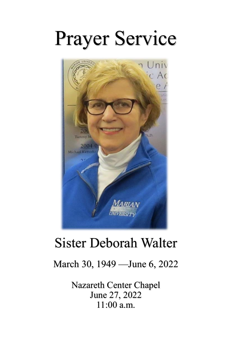# Prayer Service



## Sister Deborah Walter

### March 30, 1949 —June 6, 2022

Nazareth Center Chapel June 27, 2022 11:00 a.m.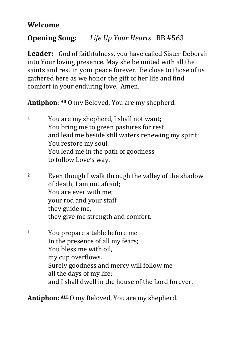#### **Welcome**

#### **Opening Song:** *Life Up Your Hearts* BB #563

**Leader:** God of faithfulness, you have called Sister Deborah into Your loving presence. May she be united with all the saints and rest in your peace forever. Be close to those of us gathered here as we honor the gift of her life and find comfort in your enduring love. Amen.

**Antiphon**: **All** O my Beloved, You are my shepherd.

- **1** You are my shepherd, I shall not want; You bring me to green pastures for rest and lead me beside still waters renewing my spirit; You restore my soul. You lead me in the path of goodness to follow Love's way.
- <sup>2</sup> Even though I walk through the valley of the shadow of death, I am not afraid; You are ever with me; your rod and your staff they guide me, they give me strength and comfort.
- <sup>1</sup> You prepare a table before me In the presence of all my fears; You bless me with oil, my cup overflows. Surely goodness and mercy will follow me all the days of my life; and I shall dwell in the house of the Lord forever.

**Antiphon: ALL** O my Beloved, You are my shepherd.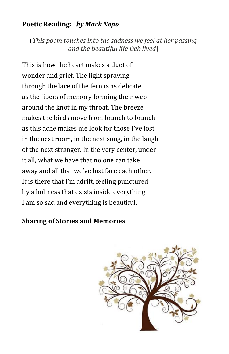#### **Poetic Reading:** *by Mark Nepo*

(*This poem touches into the sadness we feel at her passing and the beautiful life Deb lived*)

This is how the heart makes a duet of wonder and grief. The light spraying through the lace of the fern is as delicate as the fibers of memory forming their web around the knot in my throat. The breeze makes the birds move from branch to branch as this ache makes me look for those I've lost in the next room, in the next song, in the laugh of the next stranger. In the very center, under it all, what we have that no one can take away and all that we've lost face each other. It is there that I'm adrift, feeling punctured by a holiness that exists inside everything. I am so sad and everything is beautiful.

#### **Sharing of Stories and Memories**